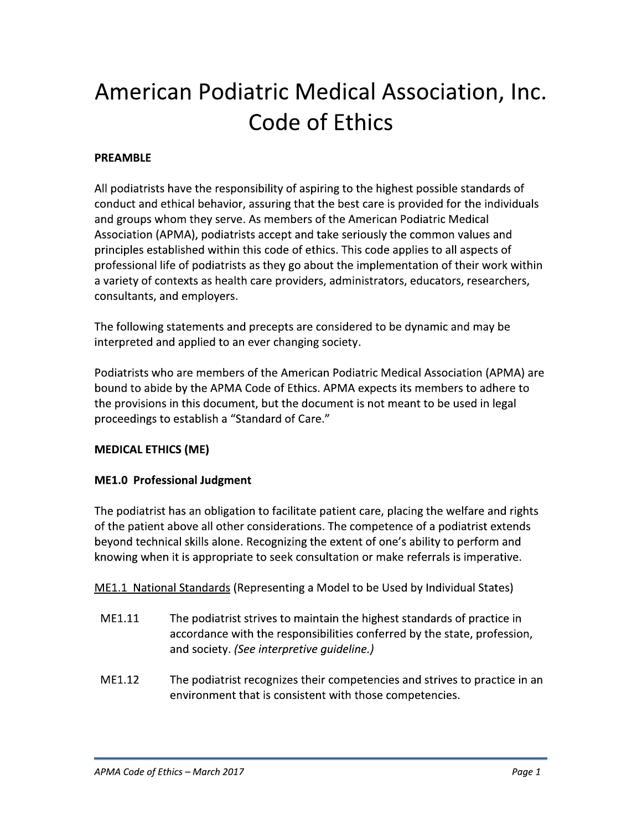# American Podiatric Medical Association, Inc. Code of Ethics

# **PREAMBLE**

All podiatrists have the responsibility of aspiring to the highest possible standards of conduct and ethical behavior, assuring that the best care is provided for the individuals and groups whom they serve. As members of the American Podiatric Medical Association (APMA), podiatrists accept and take seriously the common values and principles established within this code of ethics. This code applies to all aspects of professional life of podiatrists as they go about the implementation of their work within a variety of contexts as health care providers, administrators, educators, researchers, consultants, and employers.

The following statements and precepts are considered to be dynamic and may be interpreted and applied to an ever changing society.

Podiatrists who are members of the American Podiatric Medical Association (APMA) are bound to abide by the APMA Code of Ethics. APMA expects its members to adhere to the provisions in this document, but the document is not meant to be used in legal proceedings to establish a "Standard of Care."

## **MEDICAL ETHICS (ME)**

## **ME1.0 Professional Judgment**

The podiatrist has an obligation to facilitate patient care, placing the welfare and rights of the patient above all other considerations. The competence of a podiatrist extends beyond technical skills alone. Recognizing the extent of one's ability to perform and knowing when it is appropriate to seek consultation or make referrals is imperative.

ME1.1 National Standards (Representing a Model to be Used by Individual States)

- ME1.11 The podiatrist strives to maintain the highest standards of practice in accordance with the responsibilities conferred by the state, profession, and society. (See interpretive quideline.)
- ME1.12 The podiatrist recognizes their competencies and strives to practice in an environment that is consistent with those competencies.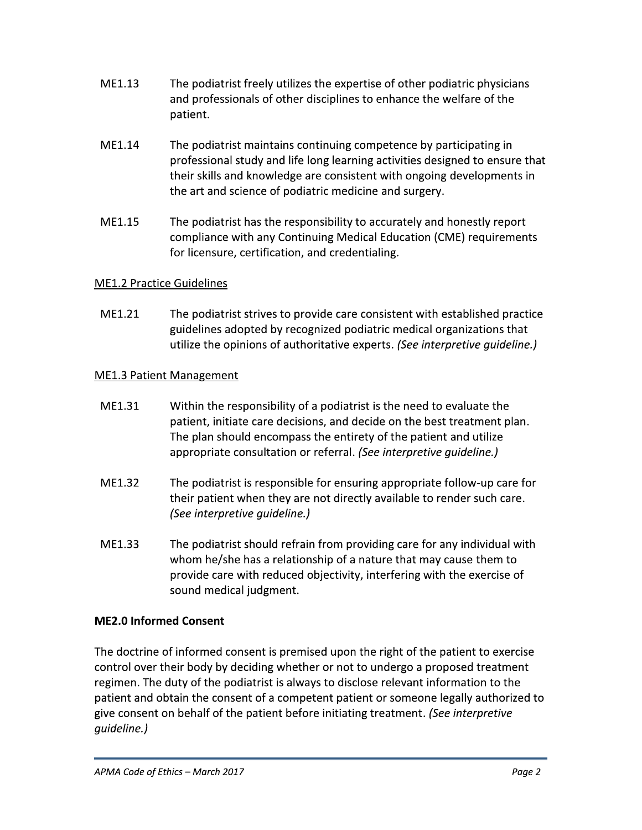- ME1.13 The podiatrist freely utilizes the expertise of other podiatric physicians and professionals of other disciplines to enhance the welfare of the patient.
- ME1.14 The podiatrist maintains continuing competence by participating in professional study and life long learning activities designed to ensure that their skills and knowledge are consistent with ongoing developments in the art and science of podiatric medicine and surgery.
- ME1.15 The podiatrist has the responsibility to accurately and honestly report compliance with any Continuing Medical Education (CME) requirements for licensure, certification, and credentialing.

# **ME1.2 Practice Guidelines**

MF1.21 The podiatrist strives to provide care consistent with established practice guidelines adopted by recognized podiatric medical organizations that utilize the opinions of authoritative experts. (See interpretive guideline.)

# **ME1.3 Patient Management**

- ME1.31 Within the responsibility of a podiatrist is the need to evaluate the patient, initiate care decisions, and decide on the best treatment plan. The plan should encompass the entirety of the patient and utilize appropriate consultation or referral. (See interpretive guideline.)
- ME1.32 The podiatrist is responsible for ensuring appropriate follow-up care for their patient when they are not directly available to render such care. (See interpretive guideline.)
- ME1.33 The podiatrist should refrain from providing care for any individual with whom he/she has a relationship of a nature that may cause them to provide care with reduced objectivity, interfering with the exercise of sound medical judgment.

# **ME2.0 Informed Consent**

The doctrine of informed consent is premised upon the right of the patient to exercise control over their body by deciding whether or not to undergo a proposed treatment regimen. The duty of the podiatrist is always to disclose relevant information to the patient and obtain the consent of a competent patient or someone legally authorized to give consent on behalf of the patient before initiating treatment. (See interpretive quideline.)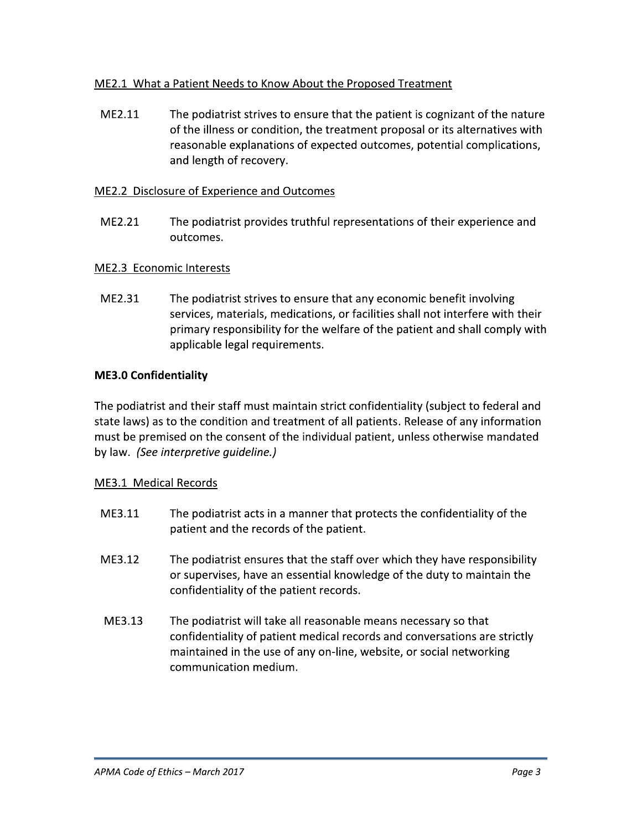## ME2.1 What a Patient Needs to Know About the Proposed Treatment

ME2.11 The podiatrist strives to ensure that the patient is cognizant of the nature of the illness or condition, the treatment proposal or its alternatives with reasonable explanations of expected outcomes, potential complications, and length of recovery.

## ME2.2 Disclosure of Experience and Outcomes

ME2.21 The podiatrist provides truthful representations of their experience and outcomes.

## ME2.3 Economic Interests

ME2.31 The podiatrist strives to ensure that any economic benefit involving services, materials, medications, or facilities shall not interfere with their primary responsibility for the welfare of the patient and shall comply with applicable legal requirements.

## **ME3.0 Confidentiality**

The podiatrist and their staff must maintain strict confidentiality (subject to federal and state laws) as to the condition and treatment of all patients. Release of any information must be premised on the consent of the individual patient, unless otherwise mandated by law. (See interpretive guideline.)

#### ME3.1 Medical Records

- ME3.11 The podiatrist acts in a manner that protects the confidentiality of the patient and the records of the patient.
- ME3.12 The podiatrist ensures that the staff over which they have responsibility or supervises, have an essential knowledge of the duty to maintain the confidentiality of the patient records.
- ME3.13 The podiatrist will take all reasonable means necessary so that confidentiality of patient medical records and conversations are strictly maintained in the use of any on-line, website, or social networking communication medium.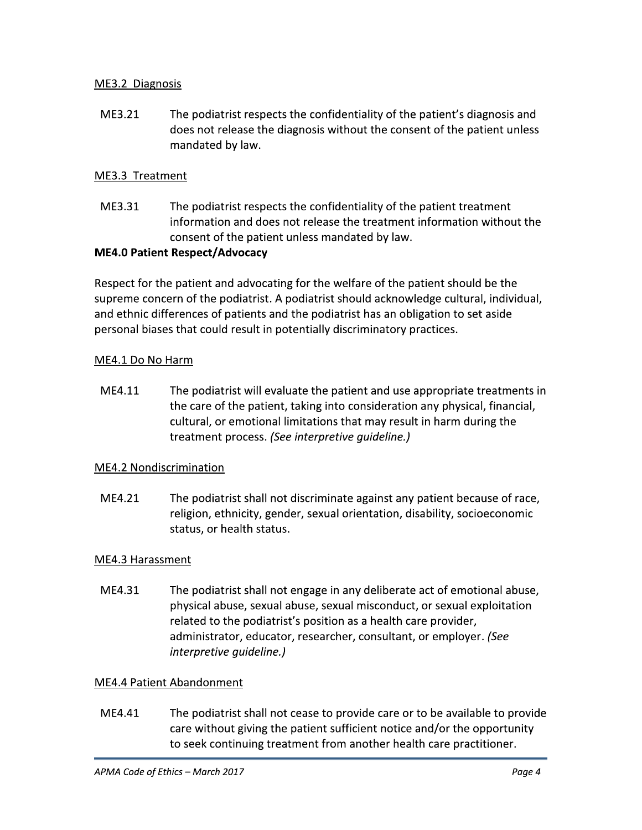## ME3.2 Diagnosis

ME3.21 The podiatrist respects the confidentiality of the patient's diagnosis and does not release the diagnosis without the consent of the patient unless mandated by law.

## ME3.3 Treatment

ME3.31 The podiatrist respects the confidentiality of the patient treatment information and does not release the treatment information without the consent of the patient unless mandated by law.

#### **ME4.0 Patient Respect/Advocacy**

Respect for the patient and advocating for the welfare of the patient should be the supreme concern of the podiatrist. A podiatrist should acknowledge cultural, individual, and ethnic differences of patients and the podiatrist has an obligation to set aside personal biases that could result in potentially discriminatory practices.

#### ME4.1 Do No Harm

ME4.11 The podiatrist will evaluate the patient and use appropriate treatments in the care of the patient, taking into consideration any physical, financial, cultural, or emotional limitations that may result in harm during the treatment process. (See interpretive quideline.)

#### **ME4.2 Nondiscrimination**

ME4.21 The podiatrist shall not discriminate against any patient because of race, religion, ethnicity, gender, sexual orientation, disability, socioeconomic status, or health status.

#### ME4.3 Harassment

ME4.31 The podiatrist shall not engage in any deliberate act of emotional abuse, physical abuse, sexual abuse, sexual misconduct, or sexual exploitation related to the podiatrist's position as a health care provider, administrator, educator, researcher, consultant, or employer. (See interpretive guideline.)

#### **ME4.4 Patient Abandonment**

ME4.41 The podiatrist shall not cease to provide care or to be available to provide care without giving the patient sufficient notice and/or the opportunity to seek continuing treatment from another health care practitioner.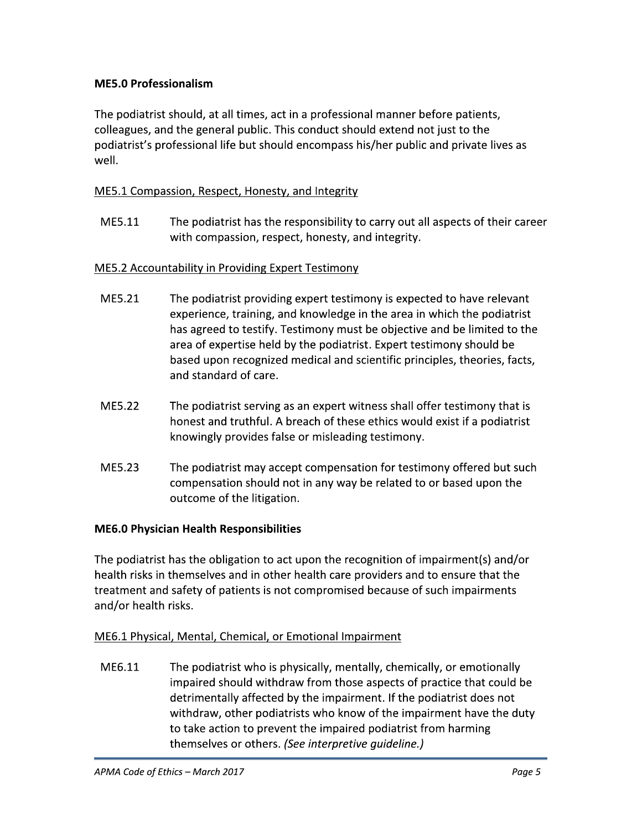# **ME5.0 Professionalism**

The podiatrist should, at all times, act in a professional manner before patients, colleagues, and the general public. This conduct should extend not just to the podiatrist's professional life but should encompass his/her public and private lives as well.

# ME5.1 Compassion, Respect, Honesty, and Integrity

ME5.11 The podiatrist has the responsibility to carry out all aspects of their career with compassion, respect, honesty, and integrity.

## **ME5.2 Accountability in Providing Expert Testimony**

- ME5.21 The podiatrist providing expert testimony is expected to have relevant experience, training, and knowledge in the area in which the podiatrist has agreed to testify. Testimony must be objective and be limited to the area of expertise held by the podiatrist. Expert testimony should be based upon recognized medical and scientific principles, theories, facts, and standard of care.
- ME5.22 The podiatrist serving as an expert witness shall offer testimony that is honest and truthful. A breach of these ethics would exist if a podiatrist knowingly provides false or misleading testimony.
- ME5.23 The podiatrist may accept compensation for testimony offered but such compensation should not in any way be related to or based upon the outcome of the litigation.

## **ME6.0 Physician Health Responsibilities**

The podiatrist has the obligation to act upon the recognition of impairment(s) and/or health risks in themselves and in other health care providers and to ensure that the treatment and safety of patients is not compromised because of such impairments and/or health risks.

## ME6.1 Physical, Mental, Chemical, or Emotional Impairment

ME6.11 The podiatrist who is physically, mentally, chemically, or emotionally impaired should withdraw from those aspects of practice that could be detrimentally affected by the impairment. If the podiatrist does not withdraw, other podiatrists who know of the impairment have the duty to take action to prevent the impaired podiatrist from harming themselves or others. (See interpretive guideline.)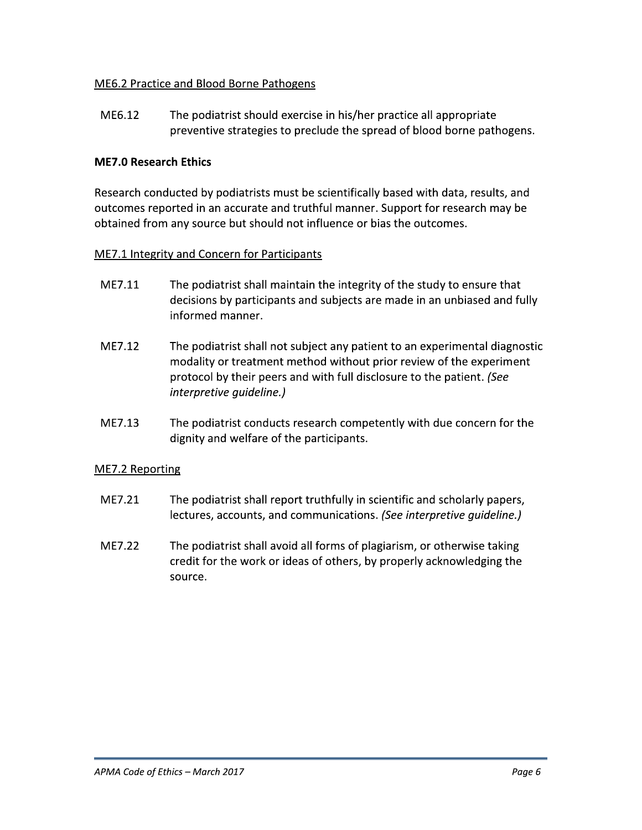## ME6.2 Practice and Blood Borne Pathogens

ME6.12 The podiatrist should exercise in his/her practice all appropriate preventive strategies to preclude the spread of blood borne pathogens.

#### **ME7.0 Research Ethics**

Research conducted by podiatrists must be scientifically based with data, results, and outcomes reported in an accurate and truthful manner. Support for research may be obtained from any source but should not influence or bias the outcomes.

#### ME7.1 Integrity and Concern for Participants

- ME7.11 The podiatrist shall maintain the integrity of the study to ensure that decisions by participants and subjects are made in an unbiased and fully informed manner.
- ME7.12 The podiatrist shall not subject any patient to an experimental diagnostic modality or treatment method without prior review of the experiment protocol by their peers and with full disclosure to the patient. (See interpretive guideline.)
- ME7.13 The podiatrist conducts research competently with due concern for the dignity and welfare of the participants.

#### ME7.2 Reporting

- ME7.21 The podiatrist shall report truthfully in scientific and scholarly papers, lectures, accounts, and communications. (See interpretive guideline.)
- ME7.22 The podiatrist shall avoid all forms of plagiarism, or otherwise taking credit for the work or ideas of others, by properly acknowledging the source.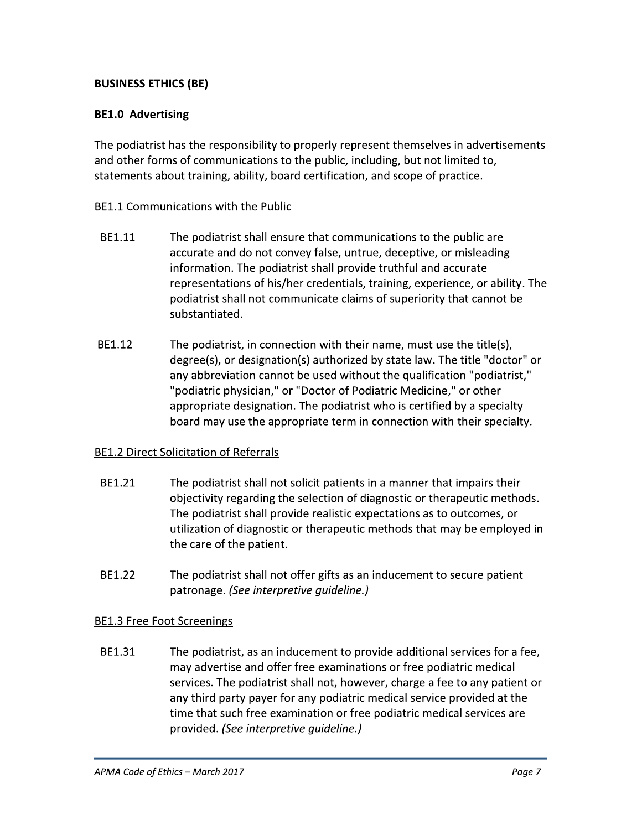# **BUSINESS ETHICS (BE)**

## **BE1.0 Advertising**

The podiatrist has the responsibility to properly represent themselves in advertisements and other forms of communications to the public, including, but not limited to, statements about training, ability, board certification, and scope of practice.

## BE1.1 Communications with the Public

- BE1.11 The podiatrist shall ensure that communications to the public are accurate and do not convey false, untrue, deceptive, or misleading information. The podiatrist shall provide truthful and accurate representations of his/her credentials, training, experience, or ability. The podiatrist shall not communicate claims of superiority that cannot be substantiated.
- BE1.12 The podiatrist, in connection with their name, must use the title(s), degree(s), or designation(s) authorized by state law. The title "doctor" or any abbreviation cannot be used without the qualification "podiatrist," "podiatric physician," or "Doctor of Podiatric Medicine," or other appropriate designation. The podiatrist who is certified by a specialty board may use the appropriate term in connection with their specialty.

#### **BE1.2 Direct Solicitation of Referrals**

- BE1.21 The podiatrist shall not solicit patients in a manner that impairs their objectivity regarding the selection of diagnostic or therapeutic methods. The podiatrist shall provide realistic expectations as to outcomes, or utilization of diagnostic or therapeutic methods that may be employed in the care of the patient.
- BE1.22 The podiatrist shall not offer gifts as an inducement to secure patient patronage. (See interpretive quideline.)

#### **BE1.3 Free Foot Screenings**

BE1.31 The podiatrist, as an inducement to provide additional services for a fee, may advertise and offer free examinations or free podiatric medical services. The podiatrist shall not, however, charge a fee to any patient or any third party payer for any podiatric medical service provided at the time that such free examination or free podiatric medical services are provided. (See interpretive quideline.)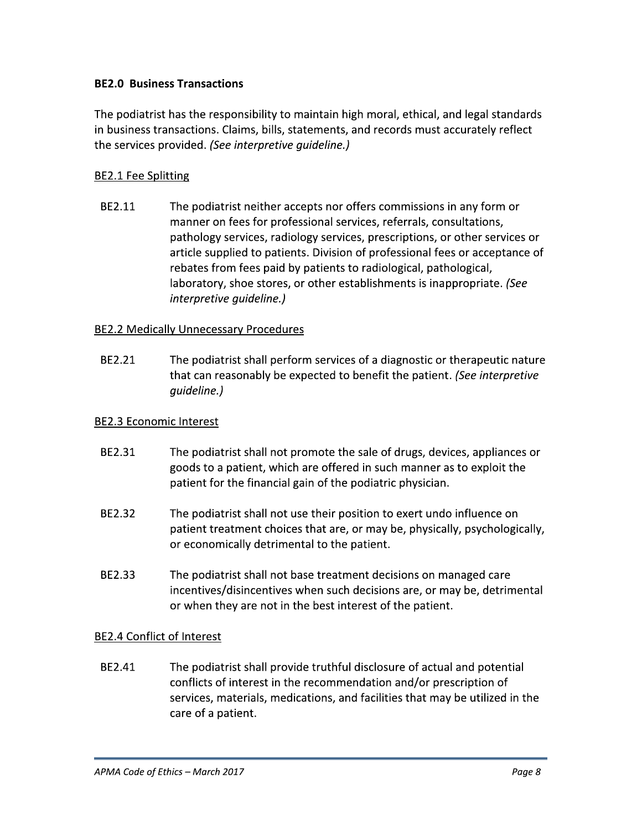## **BE2.0 Business Transactions**

The podiatrist has the responsibility to maintain high moral, ethical, and legal standards in business transactions. Claims, bills, statements, and records must accurately reflect the services provided. (See interpretive guideline.)

## **BE2.1 Fee Splitting**

BE2.11 The podiatrist neither accepts nor offers commissions in any form or manner on fees for professional services, referrals, consultations, pathology services, radiology services, prescriptions, or other services or article supplied to patients. Division of professional fees or acceptance of rebates from fees paid by patients to radiological, pathological, laboratory, shoe stores, or other establishments is inappropriate. (See *interpretive guideline.)* 

#### **BE2.2 Medically Unnecessary Procedures**

BE2.21 The podiatrist shall perform services of a diagnostic or therapeutic nature that can reasonably be expected to benefit the patient. (See interpretive quideline.)

#### **BE2.3 Economic Interest**

- BE2.31 The podiatrist shall not promote the sale of drugs, devices, appliances or goods to a patient, which are offered in such manner as to exploit the patient for the financial gain of the podiatric physician.
- BE2.32 The podiatrist shall not use their position to exert undo influence on patient treatment choices that are, or may be, physically, psychologically, or economically detrimental to the patient.
- BE2.33 The podiatrist shall not base treatment decisions on managed care incentives/disincentives when such decisions are, or may be, detrimental or when they are not in the best interest of the patient.

#### **BE2.4 Conflict of Interest**

BE2.41 The podiatrist shall provide truthful disclosure of actual and potential conflicts of interest in the recommendation and/or prescription of services, materials, medications, and facilities that may be utilized in the care of a patient.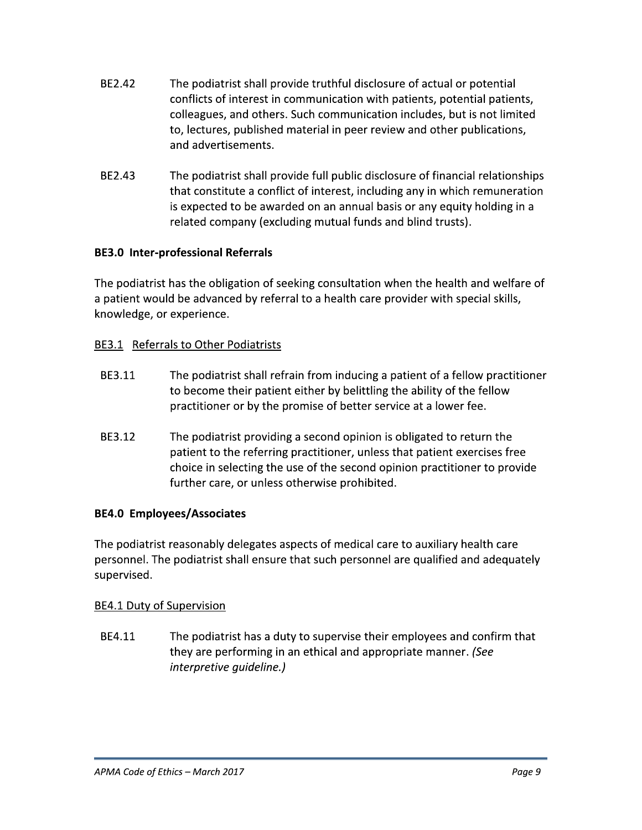- BF2.42 The podiatrist shall provide truthful disclosure of actual or potential conflicts of interest in communication with patients, potential patients, colleagues, and others. Such communication includes, but is not limited to, lectures, published material in peer review and other publications, and advertisements.
- BE2.43 The podiatrist shall provide full public disclosure of financial relationships that constitute a conflict of interest, including any in which remuneration is expected to be awarded on an annual basis or any equity holding in a related company (excluding mutual funds and blind trusts).

## **BE3.0 Inter-professional Referrals**

The podiatrist has the obligation of seeking consultation when the health and welfare of a patient would be advanced by referral to a health care provider with special skills, knowledge, or experience.

## BE3.1 Referrals to Other Podiatrists

- BE3.11 The podiatrist shall refrain from inducing a patient of a fellow practitioner to become their patient either by belittling the ability of the fellow practitioner or by the promise of better service at a lower fee.
- The podiatrist providing a second opinion is obligated to return the BE3.12 patient to the referring practitioner, unless that patient exercises free choice in selecting the use of the second opinion practitioner to provide further care, or unless otherwise prohibited.

# **BE4.0 Employees/Associates**

The podiatrist reasonably delegates aspects of medical care to auxiliary health care personnel. The podiatrist shall ensure that such personnel are qualified and adequately supervised.

## BE4.1 Duty of Supervision

BE4.11 The podiatrist has a duty to supervise their employees and confirm that they are performing in an ethical and appropriate manner. (See *interpretive quideline.)*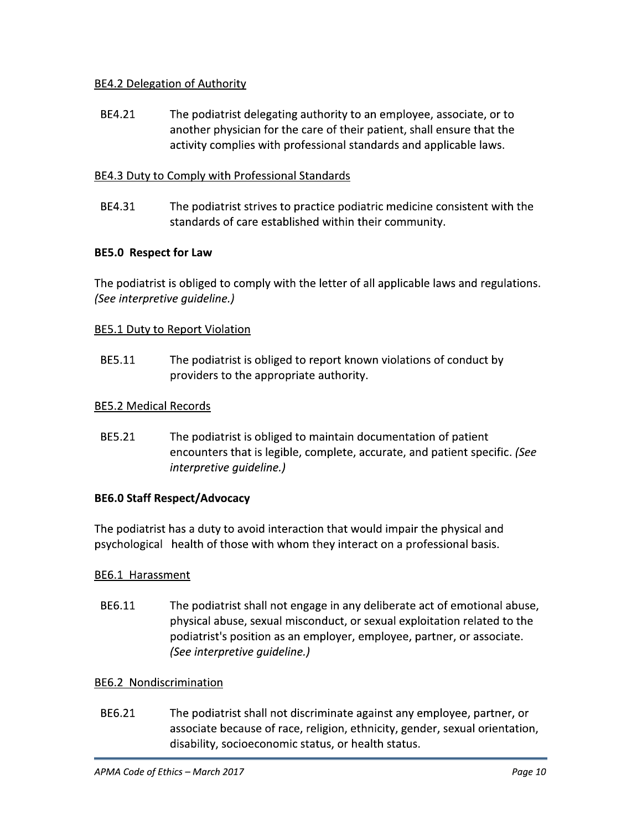## BE4.2 Delegation of Authority

BE4.21 The podiatrist delegating authority to an employee, associate, or to another physician for the care of their patient, shall ensure that the activity complies with professional standards and applicable laws.

# BE4.3 Duty to Comply with Professional Standards

BE4.31 The podiatrist strives to practice podiatric medicine consistent with the standards of care established within their community.

# **BE5.0 Respect for Law**

The podiatrist is obliged to comply with the letter of all applicable laws and regulations. (See interpretive guideline.)

## **BE5.1 Duty to Report Violation**

BE5.11 The podiatrist is obliged to report known violations of conduct by providers to the appropriate authority.

## **BE5.2 Medical Records**

BE5.21 The podiatrist is obliged to maintain documentation of patient encounters that is legible, complete, accurate, and patient specific. (See *interpretive quideline.)* 

## **BE6.0 Staff Respect/Advocacy**

The podiatrist has a duty to avoid interaction that would impair the physical and psychological health of those with whom they interact on a professional basis.

## BE6.1 Harassment

BE6.11 The podiatrist shall not engage in any deliberate act of emotional abuse, physical abuse, sexual misconduct, or sexual exploitation related to the podiatrist's position as an employer, employee, partner, or associate. (See interpretive guideline.)

## **BE6.2 Nondiscrimination**

BE6.21 The podiatrist shall not discriminate against any employee, partner, or associate because of race, religion, ethnicity, gender, sexual orientation, disability, socioeconomic status, or health status.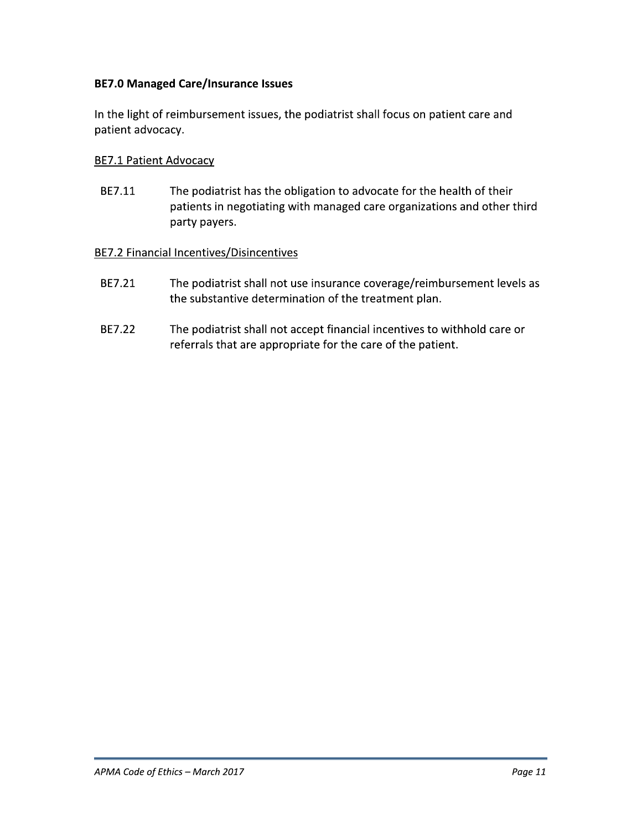## **BE7.0 Managed Care/Insurance Issues**

In the light of reimbursement issues, the podiatrist shall focus on patient care and patient advocacy.

#### **BE7.1 Patient Advocacy**

BE7.11 The podiatrist has the obligation to advocate for the health of their patients in negotiating with managed care organizations and other third party payers.

#### **BE7.2 Financial Incentives/Disincentives**

- BE7.21 The podiatrist shall not use insurance coverage/reimbursement levels as the substantive determination of the treatment plan.
- BE7.22 The podiatrist shall not accept financial incentives to withhold care or referrals that are appropriate for the care of the patient.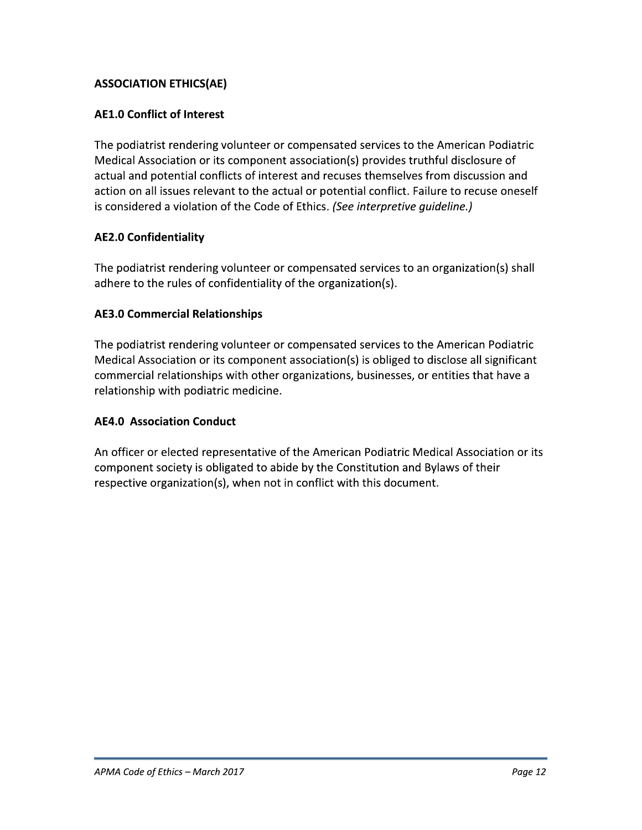# **ASSOCIATION ETHICS(AE)**

## **AE1.0 Conflict of Interest**

The podiatrist rendering volunteer or compensated services to the American Podiatric Medical Association or its component association(s) provides truthful disclosure of actual and potential conflicts of interest and recuses themselves from discussion and action on all issues relevant to the actual or potential conflict. Failure to recuse oneself is considered a violation of the Code of Ethics. (See interpretive guideline.)

## **AE2.0 Confidentiality**

The podiatrist rendering volunteer or compensated services to an organization(s) shall adhere to the rules of confidentiality of the organization(s).

## **AE3.0 Commercial Relationships**

The podiatrist rendering volunteer or compensated services to the American Podiatric Medical Association or its component association(s) is obliged to disclose all significant commercial relationships with other organizations, businesses, or entities that have a relationship with podiatric medicine.

# **AE4.0 Association Conduct**

An officer or elected representative of the American Podiatric Medical Association or its component society is obligated to abide by the Constitution and Bylaws of their respective organization(s), when not in conflict with this document.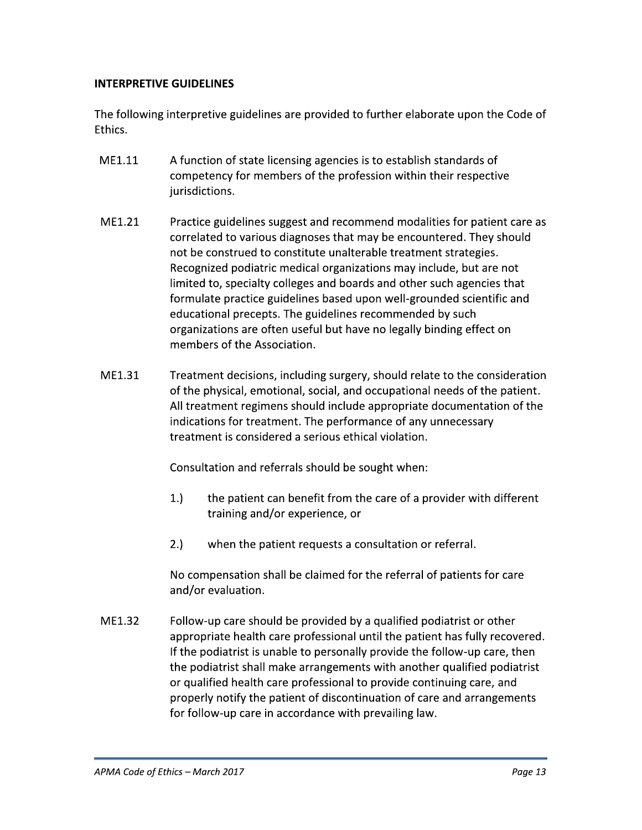## **INTERPRETIVE GUIDELINES**

The following interpretive guidelines are provided to further elaborate upon the Code of Ethics.

- ME1.11 A function of state licensing agencies is to establish standards of competency for members of the profession within their respective jurisdictions.
- ME1.21 Practice guidelines suggest and recommend modalities for patient care as correlated to various diagnoses that may be encountered. They should not be construed to constitute unalterable treatment strategies. Recognized podiatric medical organizations may include, but are not limited to, specialty colleges and boards and other such agencies that formulate practice guidelines based upon well-grounded scientific and educational precepts. The guidelines recommended by such organizations are often useful but have no legally binding effect on members of the Association.
- ME1.31 Treatment decisions, including surgery, should relate to the consideration of the physical, emotional, social, and occupational needs of the patient. All treatment regimens should include appropriate documentation of the indications for treatment. The performance of any unnecessary treatment is considered a serious ethical violation.

Consultation and referrals should be sought when:

- $1.$ the patient can benefit from the care of a provider with different training and/or experience, or
- $2.)$ when the patient requests a consultation or referral.

No compensation shall be claimed for the referral of patients for care and/or evaluation.

ME1.32 Follow-up care should be provided by a qualified podiatrist or other appropriate health care professional until the patient has fully recovered. If the podiatrist is unable to personally provide the follow-up care, then the podiatrist shall make arrangements with another qualified podiatrist or qualified health care professional to provide continuing care, and properly notify the patient of discontinuation of care and arrangements for follow-up care in accordance with prevailing law.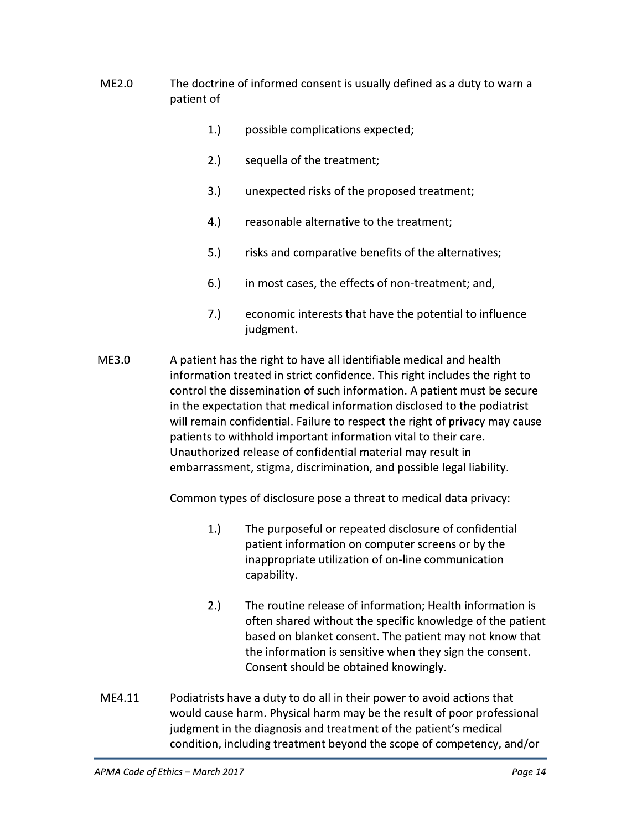- $MF2.0$ The doctrine of informed consent is usually defined as a duty to warn a patient of
	- $1.$ possible complications expected;
	- $2.$ sequella of the treatment;
	- $3.$ unexpected risks of the proposed treatment;
	- 4.) reasonable alternative to the treatment;
	- $5.$ risks and comparative benefits of the alternatives;
	- $6.$ in most cases, the effects of non-treatment; and,
	- $7.)$ economic interests that have the potential to influence judgment.
- **ME3.0** A patient has the right to have all identifiable medical and health information treated in strict confidence. This right includes the right to control the dissemination of such information. A patient must be secure in the expectation that medical information disclosed to the podiatrist will remain confidential. Failure to respect the right of privacy may cause patients to withhold important information vital to their care. Unauthorized release of confidential material may result in embarrassment, stigma, discrimination, and possible legal liability.

Common types of disclosure pose a threat to medical data privacy:

- $1.$ The purposeful or repeated disclosure of confidential patient information on computer screens or by the inappropriate utilization of on-line communication capability.
- $2.)$ The routine release of information; Health information is often shared without the specific knowledge of the patient based on blanket consent. The patient may not know that the information is sensitive when they sign the consent. Consent should be obtained knowingly.
- ME4.11 Podiatrists have a duty to do all in their power to avoid actions that would cause harm. Physical harm may be the result of poor professional judgment in the diagnosis and treatment of the patient's medical condition, including treatment beyond the scope of competency, and/or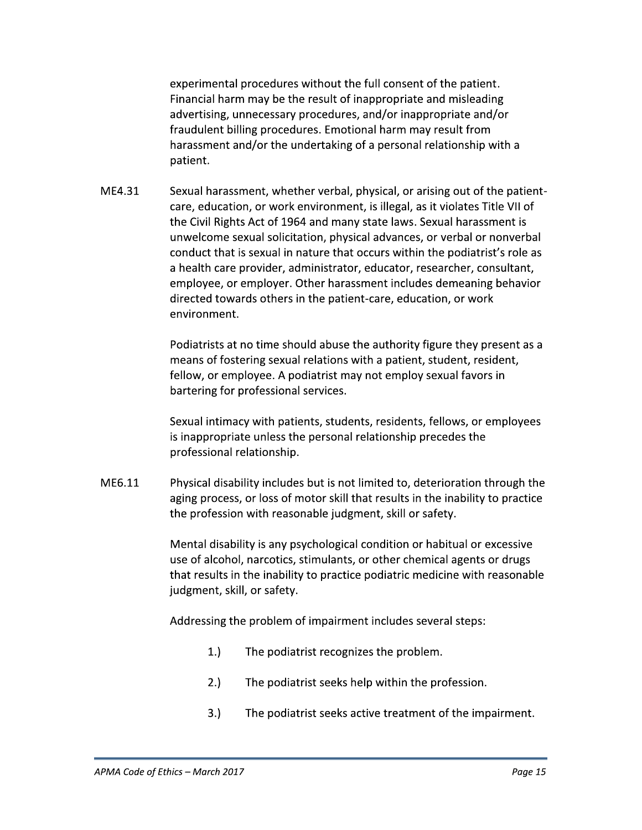experimental procedures without the full consent of the patient. Financial harm may be the result of inappropriate and misleading advertising, unnecessary procedures, and/or inappropriate and/or fraudulent billing procedures. Emotional harm may result from harassment and/or the undertaking of a personal relationship with a patient.

ME4.31 Sexual harassment, whether verbal, physical, or arising out of the patientcare, education, or work environment, is illegal, as it violates Title VII of the Civil Rights Act of 1964 and many state laws. Sexual harassment is unwelcome sexual solicitation, physical advances, or verbal or nonverbal conduct that is sexual in nature that occurs within the podiatrist's role as a health care provider, administrator, educator, researcher, consultant, employee, or employer. Other harassment includes demeaning behavior directed towards others in the patient-care, education, or work environment.

> Podiatrists at no time should abuse the authority figure they present as a means of fostering sexual relations with a patient, student, resident, fellow, or employee. A podiatrist may not employ sexual favors in bartering for professional services.

> Sexual intimacy with patients, students, residents, fellows, or employees is inappropriate unless the personal relationship precedes the professional relationship.

ME6.11 Physical disability includes but is not limited to, deterioration through the aging process, or loss of motor skill that results in the inability to practice the profession with reasonable judgment, skill or safety.

> Mental disability is any psychological condition or habitual or excessive use of alcohol, narcotics, stimulants, or other chemical agents or drugs that results in the inability to practice podiatric medicine with reasonable judgment, skill, or safety.

Addressing the problem of impairment includes several steps:

- $1.$ The podiatrist recognizes the problem.
- $2.$ The podiatrist seeks help within the profession.
- $3.$ The podiatrist seeks active treatment of the impairment.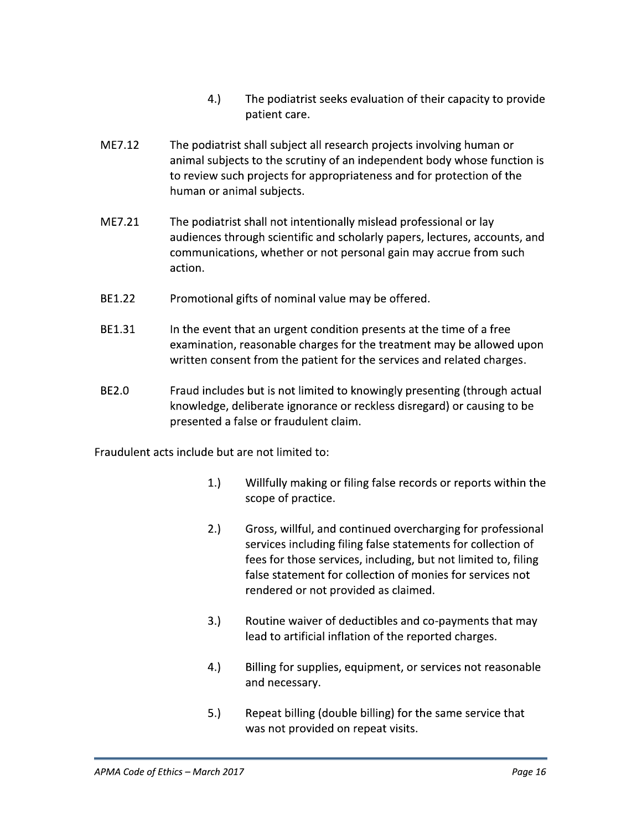- $4.$ The podiatrist seeks evaluation of their capacity to provide patient care.
- ME7.12 The podiatrist shall subject all research projects involving human or animal subjects to the scrutiny of an independent body whose function is to review such projects for appropriateness and for protection of the human or animal subjects.
- ME7.21 The podiatrist shall not intentionally mislead professional or lay audiences through scientific and scholarly papers, lectures, accounts, and communications, whether or not personal gain may accrue from such action.
- BE1.22 Promotional gifts of nominal value may be offered.
- BE1.31 In the event that an urgent condition presents at the time of a free examination, reasonable charges for the treatment may be allowed upon written consent from the patient for the services and related charges.
- BE2.0 Fraud includes but is not limited to knowingly presenting (through actual knowledge, deliberate ignorance or reckless disregard) or causing to be presented a false or fraudulent claim.

Fraudulent acts include but are not limited to:

- $1.$ Willfully making or filing false records or reports within the scope of practice.
- $2.$ Gross, willful, and continued overcharging for professional services including filing false statements for collection of fees for those services, including, but not limited to, filing false statement for collection of monies for services not rendered or not provided as claimed.
- $3.$ Routine waiver of deductibles and co-payments that may lead to artificial inflation of the reported charges.
- 4.) Billing for supplies, equipment, or services not reasonable and necessary.
- $5.$ Repeat billing (double billing) for the same service that was not provided on repeat visits.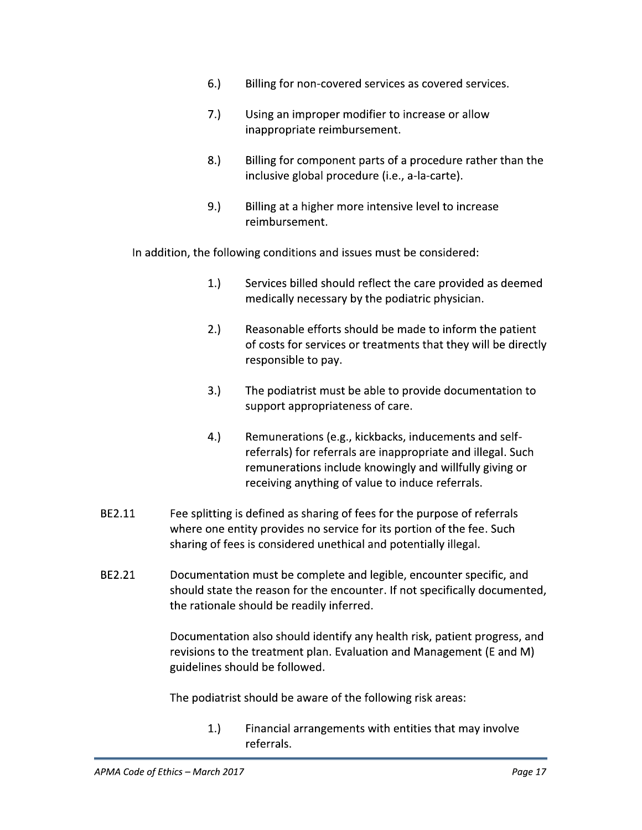- $6.$ Billing for non-covered services as covered services.
- $7.)$ Using an improper modifier to increase or allow inappropriate reimbursement.
- $8.$ Billing for component parts of a procedure rather than the inclusive global procedure (i.e., a-la-carte).
- $9.)$ Billing at a higher more intensive level to increase reimbursement.

In addition, the following conditions and issues must be considered:

- $1.$ Services billed should reflect the care provided as deemed medically necessary by the podiatric physician.
- $2.)$ Reasonable efforts should be made to inform the patient of costs for services or treatments that they will be directly responsible to pay.
- $3.$ The podiatrist must be able to provide documentation to support appropriateness of care.
- $4.$ Remunerations (e.g., kickbacks, inducements and selfreferrals) for referrals are inappropriate and illegal. Such remunerations include knowingly and willfully giving or receiving anything of value to induce referrals.
- BE2.11 Fee splitting is defined as sharing of fees for the purpose of referrals where one entity provides no service for its portion of the fee. Such sharing of fees is considered unethical and potentially illegal.
- BE2.21 Documentation must be complete and legible, encounter specific, and should state the reason for the encounter. If not specifically documented, the rationale should be readily inferred.

Documentation also should identify any health risk, patient progress, and revisions to the treatment plan. Evaluation and Management (E and M) guidelines should be followed.

The podiatrist should be aware of the following risk areas:

 $1.$ Financial arrangements with entities that may involve referrals.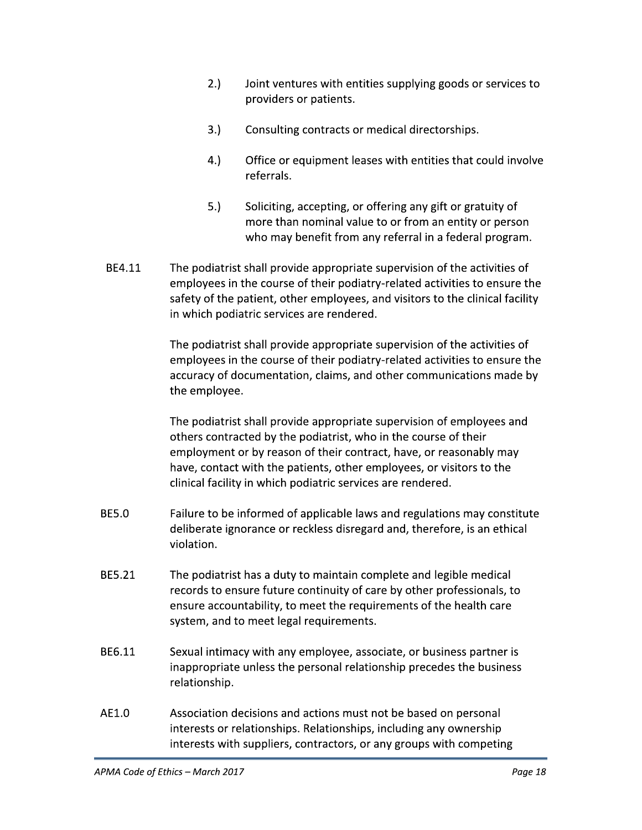- $2.$ Joint ventures with entities supplying goods or services to providers or patients.
- $3.)$ Consulting contracts or medical directorships.
- 4.) Office or equipment leases with entities that could involve referrals.
- $5.)$ Soliciting, accepting, or offering any gift or gratuity of more than nominal value to or from an entity or person who may benefit from any referral in a federal program.
- BE4.11 The podiatrist shall provide appropriate supervision of the activities of employees in the course of their podiatry-related activities to ensure the safety of the patient, other employees, and visitors to the clinical facility in which podiatric services are rendered.

The podiatrist shall provide appropriate supervision of the activities of employees in the course of their podiatry-related activities to ensure the accuracy of documentation, claims, and other communications made by the employee.

The podiatrist shall provide appropriate supervision of employees and others contracted by the podiatrist, who in the course of their employment or by reason of their contract, have, or reasonably may have, contact with the patients, other employees, or visitors to the clinical facility in which podiatric services are rendered.

- **BE5.0** Failure to be informed of applicable laws and regulations may constitute deliberate ignorance or reckless disregard and, therefore, is an ethical violation.
- BE5.21 The podiatrist has a duty to maintain complete and legible medical records to ensure future continuity of care by other professionals, to ensure accountability, to meet the requirements of the health care system, and to meet legal requirements.
- BE6.11 Sexual intimacy with any employee, associate, or business partner is inappropriate unless the personal relationship precedes the business relationship.
- AE1.0 Association decisions and actions must not be based on personal interests or relationships. Relationships, including any ownership interests with suppliers, contractors, or any groups with competing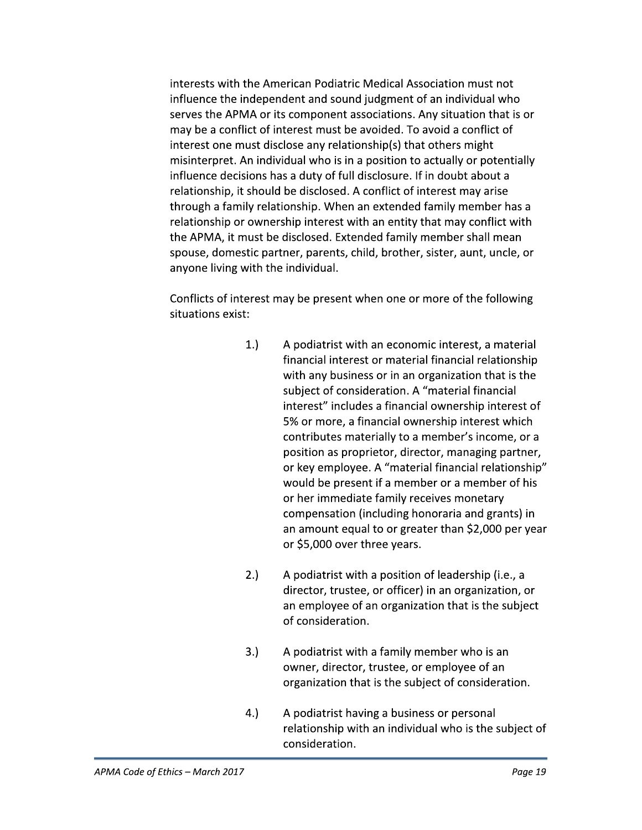interests with the American Podiatric Medical Association must not influence the independent and sound judgment of an individual who serves the APMA or its component associations. Any situation that is or may be a conflict of interest must be avoided. To avoid a conflict of interest one must disclose any relationship(s) that others might misinterpret. An individual who is in a position to actually or potentially influence decisions has a duty of full disclosure. If in doubt about a relationship, it should be disclosed. A conflict of interest may arise through a family relationship. When an extended family member has a relationship or ownership interest with an entity that may conflict with the APMA, it must be disclosed. Extended family member shall mean spouse, domestic partner, parents, child, brother, sister, aunt, uncle, or anyone living with the individual.

Conflicts of interest may be present when one or more of the following situations exist:

- $1.$ A podiatrist with an economic interest, a material financial interest or material financial relationship with any business or in an organization that is the subject of consideration. A "material financial interest" includes a financial ownership interest of 5% or more, a financial ownership interest which contributes materially to a member's income, or a position as proprietor, director, managing partner, or key employee. A "material financial relationship" would be present if a member or a member of his or her immediate family receives monetary compensation (including honoraria and grants) in an amount equal to or greater than \$2,000 per year or \$5,000 over three years.
- $2.)$ A podiatrist with a position of leadership (i.e., a director, trustee, or officer) in an organization, or an employee of an organization that is the subject of consideration.
- $3.)$ A podiatrist with a family member who is an owner, director, trustee, or employee of an organization that is the subject of consideration.
- $4.$ A podiatrist having a business or personal relationship with an individual who is the subject of consideration.